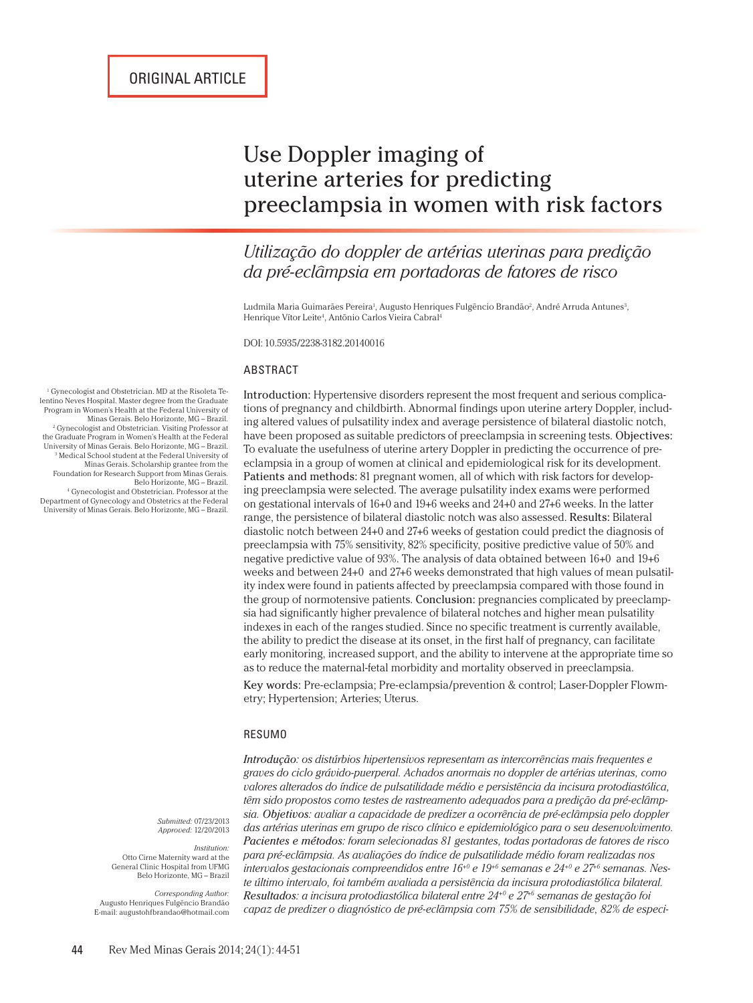# Use Doppler imaging of uterine arteries for predicting preeclampsia in women with risk factors

*Utilização do doppler de artérias uterinas para predição da pré-eclâmpsia em portadoras de fatores de risco*

Ludmila Maria Guimarães Pereira<sup>i</sup>, Augusto Henriques Fulgêncio Brandão<sup>2</sup>, André Arruda Antunes<sup>3</sup>, Henrique Vítor Leite<sup>4</sup>, Antônio Carlos Vieira Cabral<sup>4</sup>

DOI: 10.5935/2238-3182.20140016

#### ABSTRACT

Introduction: Hypertensive disorders represent the most frequent and serious complications of pregnancy and childbirth. Abnormal findings upon uterine artery Doppler, including altered values of pulsatility index and average persistence of bilateral diastolic notch, have been proposed as suitable predictors of preeclampsia in screening tests. Objectives: To evaluate the usefulness of uterine artery Doppler in predicting the occurrence of preeclampsia in a group of women at clinical and epidemiological risk for its development. Patients and methods: 81 pregnant women, all of which with risk factors for developing preeclampsia were selected. The average pulsatility index exams were performed on gestational intervals of 16+0 and 19+6 weeks and 24+0 and 27+6 weeks. In the latter range, the persistence of bilateral diastolic notch was also assessed. Results: Bilateral diastolic notch between 24+0 and 27+6 weeks of gestation could predict the diagnosis of preeclampsia with 75% sensitivity, 82% specificity, positive predictive value of 50% and negative predictive value of 93%. The analysis of data obtained between 16+0 and 19+6 weeks and between 24+0 and 27+6 weeks demonstrated that high values of mean pulsatility index were found in patients affected by preeclampsia compared with those found in the group of normotensive patients. Conclusion: pregnancies complicated by preeclampsia had significantly higher prevalence of bilateral notches and higher mean pulsatility indexes in each of the ranges studied. Since no specific treatment is currently available, the ability to predict the disease at its onset, in the first half of pregnancy, can facilitate early monitoring, increased support, and the ability to intervene at the appropriate time so as to reduce the maternal-fetal morbidity and mortality observed in preeclampsia.

Key words: Pre-eclampsia; Pre-eclampsia/prevention & control; Laser-Doppler Flowmetry; Hypertension; Arteries; Uterus.

#### RESUMO

*Introdução: os distúrbios hipertensivos representam as intercorrências mais frequentes e graves do ciclo grávido-puerperal. Achados anormais no doppler de artérias uterinas, como valores alterados do índice de pulsatilidade médio e persistência da incisura protodiastólica, têm sido propostos como testes de rastreamento adequados para a predição da pré-eclâmpsia. Objetivos: avaliar a capacidade de predizer a ocorrência de pré-eclâmpsia pelo doppler das artérias uterinas em grupo de risco clínico e epidemiológico para o seu desenvolvimento. Pacientes e métodos: foram selecionadas 81 gestantes, todas portadoras de fatores de risco para pré-eclâmpsia. As avaliações do índice de pulsatilidade médio foram realizadas nos intervalos gestacionais compreendidos entre 16+0 e 19+6 semanas e 24+0 e 27+6 semanas. Neste último intervalo, foi também avaliada a persistência da incisura protodiastólica bilateral. Resultados: a incisura protodiastólica bilateral entre 24+0 e 27+6 semanas de gestação foi capaz de predizer o diagnóstico de pré-eclâmpsia com 75% de sensibilidade, 82% de especi-*

1 Gynecologist and Obstetrician. MD at the Risoleta Telentino Neves Hospital. Master degree from the Graduate Program in Women's Health at the Federal University of Minas Gerais. Belo Horizonte, MG – Brazil. 2 Gynecologist and Obstetrician. Visiting Professor at the Graduate Program in Women's Health at the Federal University of Minas Gerais. Belo Horizonte, MG – Brazil. 3 Medical School student at the Federal University of Minas Gerais. Scholarship grantee from the Foundation for Research Support from Minas Gerais. Belo Horizonte, MG – Brazil. 4 Gynecologist and Obstetrician. Professor at the

Department of Gynecology and Obstetrics at the Federal University of Minas Gerais. Belo Horizonte, MG – Brazil.

> *Submitted:* 07/23/2013 *Approved:* 12/20/2013

*Institution:* Otto Cirne Maternity ward at the General Clinic Hospital from UFMG Belo Horizonte, MG – Brazil

*Corresponding Author:* Augusto Henriques Fulgêncio Brandão E-mail: augustohfbrandao@hotmail.com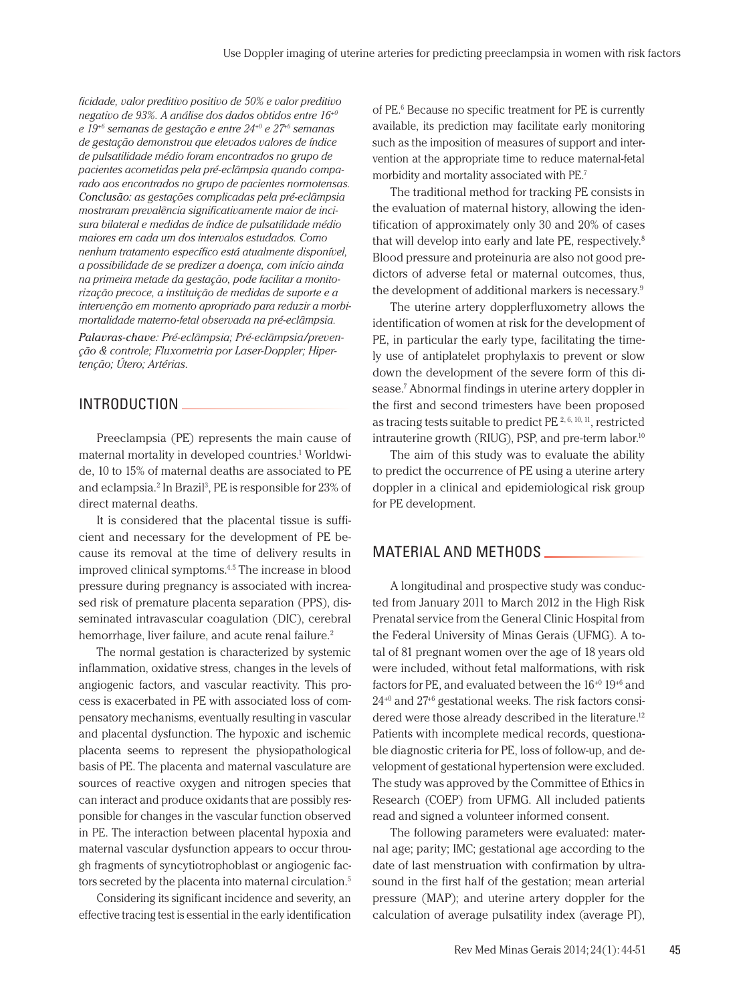*ficidade, valor preditivo positivo de 50% e valor preditivo negativo de 93%. A análise dos dados obtidos entre 16+0 e 19+6 semanas de gestação e entre 24+0 e 27+6 semanas de gestação demonstrou que elevados valores de índice de pulsatilidade médio foram encontrados no grupo de pacientes acometidas pela pré-eclâmpsia quando comparado aos encontrados no grupo de pacientes normotensas. Conclusão: as gestações complicadas pela pré-eclâmpsia mostraram prevalência significativamente maior de incisura bilateral e medidas de índice de pulsatilidade médio maiores em cada um dos intervalos estudados. Como nenhum tratamento específico está atualmente disponível, a possibilidade de se predizer a doença, com início ainda na primeira metade da gestação, pode facilitar a monitorização precoce, a instituição de medidas de suporte e a intervenção em momento apropriado para reduzir a morbimortalidade materno-fetal observada na pré-eclâmpsia. Palavras-chave: Pré-eclâmpsia; Pré-eclâmpsia/preven-*

*ção & controle; Fluxometria por Laser-Doppler; Hipertenção; Útero; Artérias.*

# INTRODUCTION

Preeclampsia (PE) represents the main cause of maternal mortality in developed countries.1 Worldwide, 10 to 15% of maternal deaths are associated to PE and eclampsia.<sup>2</sup> In Brazil<sup>3</sup>, PE is responsible for 23% of direct maternal deaths.

It is considered that the placental tissue is sufficient and necessary for the development of PE because its removal at the time of delivery results in improved clinical symptoms.4.5 The increase in blood pressure during pregnancy is associated with increased risk of premature placenta separation (PPS), disseminated intravascular coagulation (DIC), cerebral hemorrhage, liver failure, and acute renal failure.<sup>2</sup>

The normal gestation is characterized by systemic inflammation, oxidative stress, changes in the levels of angiogenic factors, and vascular reactivity. This process is exacerbated in PE with associated loss of compensatory mechanisms, eventually resulting in vascular and placental dysfunction. The hypoxic and ischemic placenta seems to represent the physiopathological basis of PE. The placenta and maternal vasculature are sources of reactive oxygen and nitrogen species that can interact and produce oxidants that are possibly responsible for changes in the vascular function observed in PE. The interaction between placental hypoxia and maternal vascular dysfunction appears to occur through fragments of syncytiotrophoblast or angiogenic factors secreted by the placenta into maternal circulation.<sup>5</sup>

Considering its significant incidence and severity, an effective tracing test is essential in the early identification

of PE.6 Because no specific treatment for PE is currently available, its prediction may facilitate early monitoring such as the imposition of measures of support and intervention at the appropriate time to reduce maternal-fetal morbidity and mortality associated with PE.7

The traditional method for tracking PE consists in the evaluation of maternal history, allowing the identification of approximately only 30 and 20% of cases that will develop into early and late PE, respectively.<sup>8</sup> Blood pressure and proteinuria are also not good predictors of adverse fetal or maternal outcomes, thus, the development of additional markers is necessary.9

The uterine artery dopplerfluxometry allows the identification of women at risk for the development of PE, in particular the early type, facilitating the timely use of antiplatelet prophylaxis to prevent or slow down the development of the severe form of this disease.<sup>7</sup> Abnormal findings in uterine artery doppler in the first and second trimesters have been proposed as tracing tests suitable to predict PE 2, 6, 10, 11, restricted intrauterine growth (RIUG), PSP, and pre-term labor.<sup>10</sup>

The aim of this study was to evaluate the ability to predict the occurrence of PE using a uterine artery doppler in a clinical and epidemiological risk group for PE development.

## MATERIAL AND METHODS

A longitudinal and prospective study was conducted from January 2011 to March 2012 in the High Risk Prenatal service from the General Clinic Hospital from the Federal University of Minas Gerais (UFMG). A total of 81 pregnant women over the age of 18 years old were included, without fetal malformations, with risk factors for PE, and evaluated between the 16+0 19+6 and  $24^{+0}$  and  $27^{+6}$  gestational weeks. The risk factors considered were those already described in the literature.<sup>12</sup> Patients with incomplete medical records, questionable diagnostic criteria for PE, loss of follow-up, and development of gestational hypertension were excluded. The study was approved by the Committee of Ethics in Research (COEP) from UFMG. All included patients read and signed a volunteer informed consent.

The following parameters were evaluated: maternal age; parity; IMC; gestational age according to the date of last menstruation with confirmation by ultrasound in the first half of the gestation; mean arterial pressure (MAP); and uterine artery doppler for the calculation of average pulsatility index (average PI),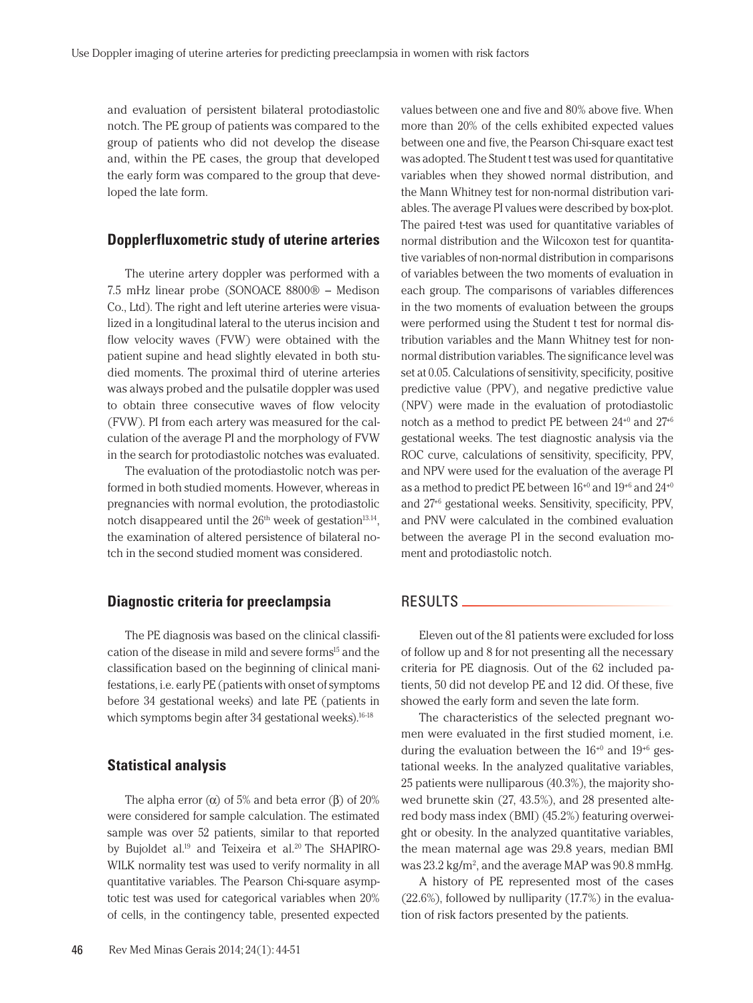and evaluation of persistent bilateral protodiastolic notch. The PE group of patients was compared to the group of patients who did not develop the disease and, within the PE cases, the group that developed the early form was compared to the group that developed the late form.

## **Dopplerfluxometric study of uterine arteries**

The uterine artery doppler was performed with a 7.5 mHz linear probe (SONOACE 8800® – Medison Co., Ltd). The right and left uterine arteries were visualized in a longitudinal lateral to the uterus incision and flow velocity waves (FVW) were obtained with the patient supine and head slightly elevated in both studied moments. The proximal third of uterine arteries was always probed and the pulsatile doppler was used to obtain three consecutive waves of flow velocity (FVW). PI from each artery was measured for the calculation of the average PI and the morphology of FVW in the search for protodiastolic notches was evaluated.

The evaluation of the protodiastolic notch was performed in both studied moments. However, whereas in pregnancies with normal evolution, the protodiastolic notch disappeared until the  $26<sup>th</sup>$  week of gestation<sup>13.14</sup>, the examination of altered persistence of bilateral notch in the second studied moment was considered.

#### **Diagnostic criteria for preeclampsia**

The PE diagnosis was based on the clinical classification of the disease in mild and severe forms<sup>15</sup> and the classification based on the beginning of clinical manifestations, i.e. early PE (patients with onset of symptoms before 34 gestational weeks) and late PE (patients in which symptoms begin after 34 gestational weeks).<sup>16-18</sup>

#### **Statistical analysis**

The alpha error  $(α)$  of 5% and beta error  $(β)$  of 20% were considered for sample calculation. The estimated sample was over 52 patients, similar to that reported by Bujoldet al.<sup>19</sup> and Teixeira et al.<sup>20</sup> The SHAPIRO-WILK normality test was used to verify normality in all quantitative variables. The Pearson Chi-square asymptotic test was used for categorical variables when 20% of cells, in the contingency table, presented expected

46 Rev Med Minas Gerais 2014; 24(1): 44-51

values between one and five and 80% above five. When more than 20% of the cells exhibited expected values between one and five, the Pearson Chi-square exact test was adopted. The Student t test was used for quantitative variables when they showed normal distribution, and the Mann Whitney test for non-normal distribution variables. The average PI values were described by box-plot. The paired t-test was used for quantitative variables of normal distribution and the Wilcoxon test for quantitative variables of non-normal distribution in comparisons of variables between the two moments of evaluation in each group. The comparisons of variables differences in the two moments of evaluation between the groups were performed using the Student t test for normal distribution variables and the Mann Whitney test for nonnormal distribution variables. The significance level was set at 0.05. Calculations of sensitivity, specificity, positive predictive value (PPV), and negative predictive value (NPV) were made in the evaluation of protodiastolic notch as a method to predict PE between 24+0 and 27+6 gestational weeks. The test diagnostic analysis via the ROC curve, calculations of sensitivity, specificity, PPV, and NPV were used for the evaluation of the average PI as a method to predict PE between  $16^{+0}$  and  $19^{+6}$  and  $24^{+0}$ and 27+6 gestational weeks. Sensitivity, specificity, PPV, and PNV were calculated in the combined evaluation between the average PI in the second evaluation moment and protodiastolic notch.

# RESULTS

Eleven out of the 81 patients were excluded for loss of follow up and 8 for not presenting all the necessary criteria for PE diagnosis. Out of the 62 included patients, 50 did not develop PE and 12 did. Of these, five showed the early form and seven the late form.

The characteristics of the selected pregnant women were evaluated in the first studied moment, i.e. during the evaluation between the  $16^{+0}$  and  $19^{+6}$  gestational weeks. In the analyzed qualitative variables, 25 patients were nulliparous (40.3%), the majority showed brunette skin (27, 43.5%), and 28 presented altered body mass index (BMI) (45.2%) featuring overweight or obesity. In the analyzed quantitative variables, the mean maternal age was 29.8 years, median BMI was 23.2 kg/m<sup>2</sup>, and the average MAP was 90.8 mmHg.

A history of PE represented most of the cases (22.6%), followed by nulliparity (17.7%) in the evaluation of risk factors presented by the patients.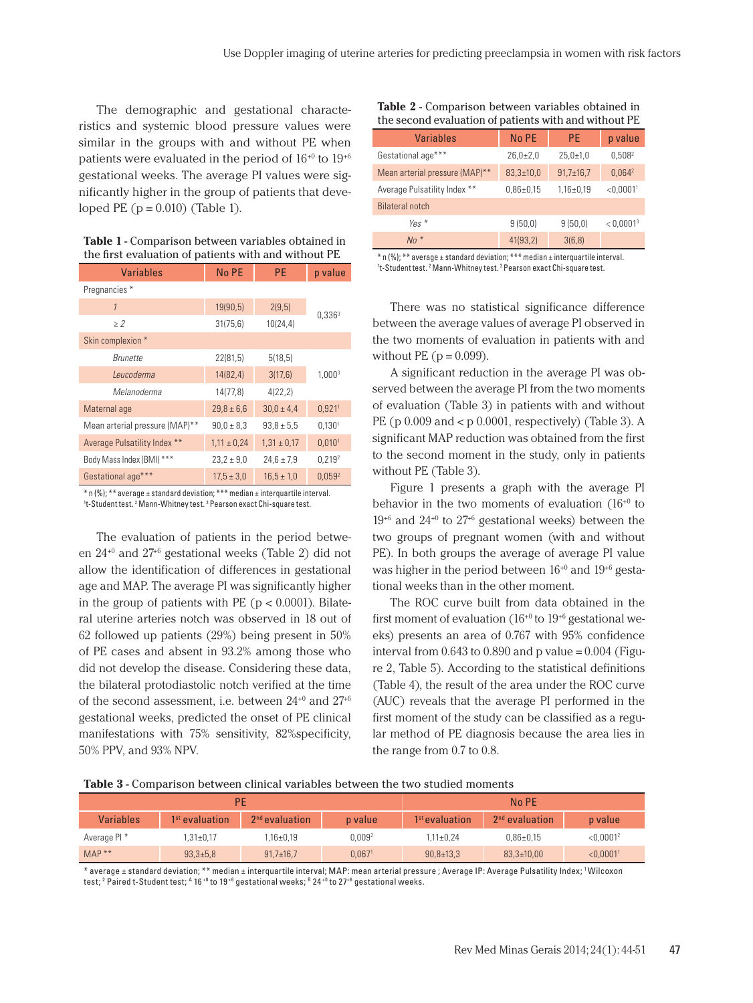The demographic and gestational characteristics and systemic blood pressure values were similar in the groups with and without PE when patients were evaluated in the period of  $16^{+0}$  to  $19^{+6}$ gestational weeks. The average PI values were significantly higher in the group of patients that developed PE  $(p = 0.010)$  (Table 1).

| Table 1 - Comparison between variables obtained in   |
|------------------------------------------------------|
| the first evaluation of patients with and without PE |

| <b>Variables</b>               | No PE           | <b>PE</b>       | p value              |
|--------------------------------|-----------------|-----------------|----------------------|
| Pregnancies*                   |                 |                 |                      |
| $\mathcal{I}$                  | 19(90,5)        | 2(9,5)          |                      |
| $\geq$ 2                       | 31(75,6)        | 10(24, 4)       | $0,336^3$            |
| Skin complexion *              |                 |                 |                      |
| <i><b>Brunette</b></i>         | 22(81,5)        | 5(18,5)         |                      |
| Leucoderma                     | 14(82,4)        | 3(17,6)         | 1,0003               |
| Melanoderma                    | 14(77,8)        | 4(22, 2)        |                      |
| Maternal age                   | $29.8 \pm 6.6$  | $30,0 \pm 4,4$  | $0,921$ <sup>1</sup> |
| Mean arterial pressure (MAP)** | $90.0 \pm 8.3$  | $93.8 \pm 5.5$  | 0,130 <sup>1</sup>   |
| Average Pulsatility Index **   | $1,11 \pm 0,24$ | $1,31 \pm 0,17$ | 0,010 <sup>1</sup>   |
| Body Mass Index (BMI) ***      | $23.2 \pm 9.0$  | $24,6 \pm 7,9$  | 0,2192               |
| Gestational age***             | $17,5 \pm 3,0$  | $16.5 \pm 1.0$  | 0,0592               |

\* n (%); \*\* average ± standard deviation; \*\*\* median ± interquartile interval. <sup>1</sup>t-Student test. <sup>2</sup> Mann-Whitney test. <sup>3</sup> Pearson exact Chi-square test.

The evaluation of patients in the period between 24+0 and 27+6 gestational weeks (Table 2) did not allow the identification of differences in gestational age and MAP. The average PI was significantly higher in the group of patients with PE ( $p < 0.0001$ ). Bilateral uterine arteries notch was observed in 18 out of 62 followed up patients (29%) being present in 50% of PE cases and absent in 93.2% among those who did not develop the disease. Considering these data, the bilateral protodiastolic notch verified at the time of the second assessment, i.e. between  $24^{+0}$  and  $27^{+6}$ gestational weeks, predicted the onset of PE clinical manifestations with 75% sensitivity, 82%specificity, 50% PPV, and 93% NPV.

**Table 2** - Comparison between variables obtained in the second evaluation of patients with and without PE

| <b>Variables</b>               | No PE           | <b>PE</b>       | p value                 |
|--------------------------------|-----------------|-----------------|-------------------------|
| Gestational age***             | $26,0{\pm}2,0$  | $25.0 \pm 1.0$  | $0,508^2$               |
| Mean arterial pressure (MAP)** | $83,3{\pm}10,0$ | $91,7\pm 16,7$  | $0,064^2$               |
| Average Pulsatility Index **   | $0.86 \pm 0.15$ | $1,16 \pm 0,19$ | $<$ 0,0001 <sup>1</sup> |
| <b>Bilateral notch</b>         |                 |                 |                         |
| Yes $*$                        | 9(50,0)         | 9(50,0)         | < 0.0001 <sup>3</sup>   |
| $No *$                         | 41(93,2)        | 3(6,8)          |                         |

\* n (%); \*\* average ± standard deviation; \*\*\* median ± interquartile interval. <sup>1</sup>t-Student test. <sup>2</sup> Mann-Whitney test. <sup>3</sup> Pearson exact Chi-square test.

There was no statistical significance difference between the average values of average PI observed in the two moments of evaluation in patients with and without PE ( $p = 0.099$ ).

A significant reduction in the average PI was observed between the average PI from the two moments of evaluation (Table 3) in patients with and without PE (p 0.009 and < p 0.0001, respectively) (Table 3). A significant MAP reduction was obtained from the first to the second moment in the study, only in patients without PE (Table 3).

Figure 1 presents a graph with the average PI behavior in the two moments of evaluation  $(16^{+0}$  to  $19^{+6}$  and  $24^{+0}$  to  $27^{+6}$  gestational weeks) between the two groups of pregnant women (with and without PE). In both groups the average of average PI value was higher in the period between  $16^{+0}$  and  $19^{+6}$  gestational weeks than in the other moment.

The ROC curve built from data obtained in the first moment of evaluation ( $16^{+0}$  to  $19^{+6}$  gestational weeks) presents an area of 0.767 with 95% confidence interval from  $0.643$  to  $0.890$  and p value =  $0.004$  (Figure 2, Table 5). According to the statistical definitions (Table 4), the result of the area under the ROC curve (AUC) reveals that the average PI performed in the first moment of the study can be classified as a regular method of PE diagnosis because the area lies in the range from 0.7 to 0.8.

**Table 3** - Comparison between clinical variables between the two studied moments

| <b>PE</b>               |                            |                  | No PF              |                  |                  |                       |
|-------------------------|----------------------------|------------------|--------------------|------------------|------------------|-----------------------|
| <b>Variables</b>        | 1 <sup>st</sup> evaluation | $2nd$ evaluation | p value            | $1st$ evaluation | $2nd$ evaluation | p value               |
| Average PI <sup>*</sup> | $1.31 \pm 0.17$            | 1.16±0.19        | 0.009 <sup>2</sup> | $1.11 \pm 0.24$  | $0.86 \pm 0.15$  | < 0.0001 <sup>2</sup> |
| $MAP**$                 | $93,3{\pm}5,8$             | $91,7 \pm 16,7$  | 0.067 <sup>1</sup> | $90,8 \pm 13,3$  | $83,3{\pm}10,00$ | < 0.00011             |

\* average ± standard deviation; \*\* median ± interquartile interval; MAP: mean arterial pressure ; Average IP: Average Pulsatility Index; 1 Wilcoxon test; <sup>2</sup> Paired t-Student test; <sup>A</sup> 16 +0 to 19 +6 gestational weeks; <sup>в</sup> 24 +0 to 27+6 gestational weeks.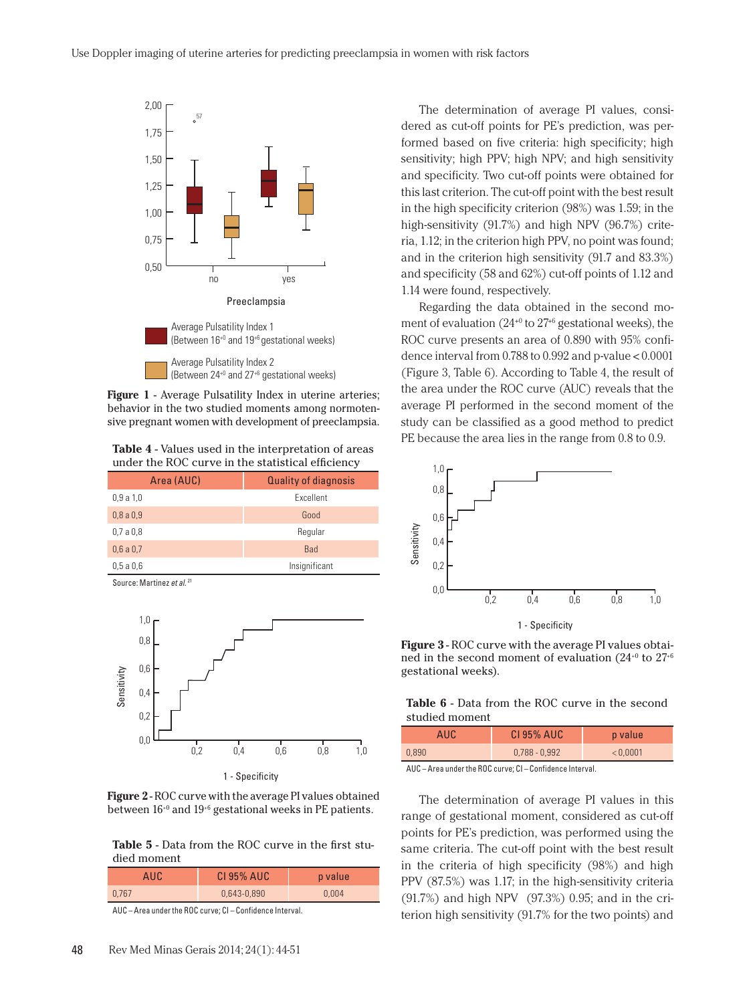

**Figure 1** - Average Pulsatility Index in uterine arteries; behavior in the two studied moments among normotensive pregnant women with development of preeclampsia.

**Table 4** - Values used in the interpretation of areas under the ROC curve in the statistical efficiency

| Area (AUC) | <b>Quality of diagnosis</b> |
|------------|-----------------------------|
| 0,9a1,0    | Excellent                   |
| 0,8a0,9    | Good                        |
| 0.7a0.8    | Regular                     |
| 0,6a0,7    | <b>Bad</b>                  |
| 0,5a0,6    | Insignificant               |
|            |                             |

Source: Martinez *et al.* <sup>2</sup>





**Table 5** - Data from the ROC curve in the first studied moment

| AUC   | <b>CI 95% AUC</b> | p value |
|-------|-------------------|---------|
| 0.767 | 0,643-0,890       | 0.004   |

AUC – Area under the ROC curve; CI – Confidence Interval.

The determination of average PI values, considered as cut-off points for PE's prediction, was performed based on five criteria: high specificity; high sensitivity; high PPV; high NPV; and high sensitivity and specificity. Two cut-off points were obtained for this last criterion. The cut-off point with the best result in the high specificity criterion (98%) was 1.59; in the high-sensitivity (91.7%) and high NPV (96.7%) criteria, 1.12; in the criterion high PPV, no point was found; and in the criterion high sensitivity (91.7 and 83.3%) and specificity (58 and 62%) cut-off points of 1.12 and 1.14 were found, respectively.

Regarding the data obtained in the second moment of evaluation  $(24^{+0}$  to  $27^{+6}$  gestational weeks), the ROC curve presents an area of 0.890 with 95% confidence interval from 0.788 to 0.992 and p-value < 0.0001 (Figure 3, Table 6). According to Table 4, the result of the area under the ROC curve (AUC) reveals that the average PI performed in the second moment of the study can be classified as a good method to predict PE because the area lies in the range from 0.8 to 0.9.



**Figure 3** - ROC curve with the average PI values obtained in the second moment of evaluation  $(24^{+0}$  to  $27^{+6}$ gestational weeks).

**Table 6** - Data from the ROC curve in the second studied moment

| AUC.  | <b>CI 95% AUC</b> | p value  |
|-------|-------------------|----------|
| 0.890 | $0,788 - 0,992$   | < 0.0001 |

AUC – Area under the ROC curve; CI – Confidence Interval.

The determination of average PI values in this range of gestational moment, considered as cut-off points for PE's prediction, was performed using the same criteria. The cut-off point with the best result in the criteria of high specificity (98%) and high PPV (87.5%) was 1.17; in the high-sensitivity criteria (91.7%) and high NPV (97.3%) 0.95; and in the criterion high sensitivity (91.7% for the two points) and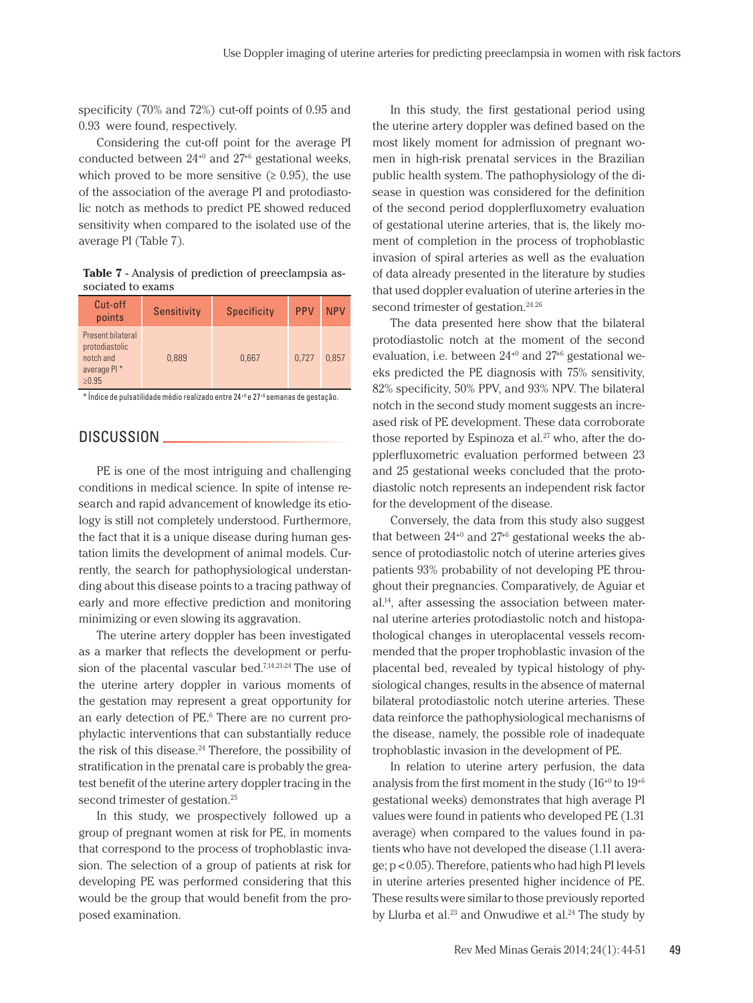specificity (70% and 72%) cut-off points of 0.95 and 0.93 were found, respectively.

Considering the cut-off point for the average PI conducted between 24+0 and 27+6 gestational weeks, which proved to be more sensitive  $(≥ 0.95)$ , the use of the association of the average PI and protodiastolic notch as methods to predict PE showed reduced sensitivity when compared to the isolated use of the average PI (Table 7).

| <b>Table 7</b> - Analysis of prediction of preeclampsia as- |  |  |
|-------------------------------------------------------------|--|--|
| sociated to exams                                           |  |  |

| Cut-off<br>points                                                              | <b>Sensitivity</b> | <b>Specificity</b> | <b>PPV</b> | <b>NPV</b> |
|--------------------------------------------------------------------------------|--------------------|--------------------|------------|------------|
| Present bilateral<br>protodiastolic<br>notch and<br>average PI *<br>$\ge 0.95$ | 0.889              | 0.667              | 0.727      | 0.857      |

\* Índice de pulsatilidade médio realizado entre 24+0 e 27+6 semanas de gestação.

# DISCUSSION \_

PE is one of the most intriguing and challenging conditions in medical science. In spite of intense research and rapid advancement of knowledge its etiology is still not completely understood. Furthermore, the fact that it is a unique disease during human gestation limits the development of animal models. Currently, the search for pathophysiological understanding about this disease points to a tracing pathway of early and more effective prediction and monitoring minimizing or even slowing its aggravation.

The uterine artery doppler has been investigated as a marker that reflects the development or perfusion of the placental vascular bed.7,14,21-24 The use of the uterine artery doppler in various moments of the gestation may represent a great opportunity for an early detection of PE.<sup>6</sup> There are no current prophylactic interventions that can substantially reduce the risk of this disease. $24$  Therefore, the possibility of stratification in the prenatal care is probably the greatest benefit of the uterine artery doppler tracing in the second trimester of gestation.<sup>25</sup>

In this study, we prospectively followed up a group of pregnant women at risk for PE, in moments that correspond to the process of trophoblastic invasion. The selection of a group of patients at risk for developing PE was performed considering that this would be the group that would benefit from the proposed examination.

In this study, the first gestational period using the uterine artery doppler was defined based on the most likely moment for admission of pregnant women in high-risk prenatal services in the Brazilian public health system. The pathophysiology of the disease in question was considered for the definition of the second period dopplerfluxometry evaluation of gestational uterine arteries, that is, the likely moment of completion in the process of trophoblastic invasion of spiral arteries as well as the evaluation of data already presented in the literature by studies that used doppler evaluation of uterine arteries in the second trimester of gestation.<sup>24.26</sup>

The data presented here show that the bilateral protodiastolic notch at the moment of the second evaluation, i.e. between  $24^{+0}$  and  $27^{+6}$  gestational weeks predicted the PE diagnosis with 75% sensitivity, 82% specificity, 50% PPV, and 93% NPV. The bilateral notch in the second study moment suggests an increased risk of PE development. These data corroborate those reported by Espinoza et al. $27$  who, after the dopplerfluxometric evaluation performed between 23 and 25 gestational weeks concluded that the protodiastolic notch represents an independent risk factor for the development of the disease.

Conversely, the data from this study also suggest that between  $24^{+0}$  and  $27^{+6}$  gestational weeks the absence of protodiastolic notch of uterine arteries gives patients 93% probability of not developing PE throughout their pregnancies. Comparatively, de Aguiar et al.14, after assessing the association between maternal uterine arteries protodiastolic notch and histopathological changes in uteroplacental vessels recommended that the proper trophoblastic invasion of the placental bed, revealed by typical histology of physiological changes, results in the absence of maternal bilateral protodiastolic notch uterine arteries. These data reinforce the pathophysiological mechanisms of the disease, namely, the possible role of inadequate trophoblastic invasion in the development of PE.

In relation to uterine artery perfusion, the data analysis from the first moment in the study  $(16^{+0}$  to  $19^{+6}$ gestational weeks) demonstrates that high average PI values were found in patients who developed PE (1.31 average) when compared to the values found in patients who have not developed the disease (1.11 average; p < 0.05). Therefore, patients who had high PI levels in uterine arteries presented higher incidence of PE. These results were similar to those previously reported by Llurba et al.<sup>23</sup> and Onwudiwe et al.<sup>24</sup> The study by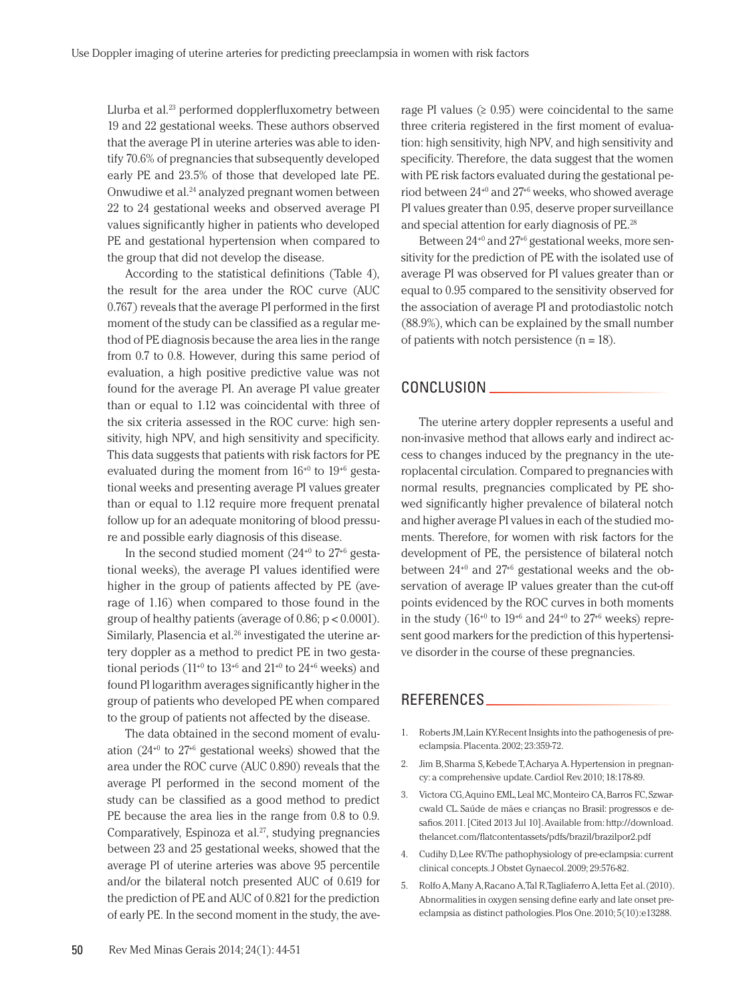Llurba et al.23 performed dopplerfluxometry between 19 and 22 gestational weeks. These authors observed that the average PI in uterine arteries was able to identify 70.6% of pregnancies that subsequently developed early PE and 23.5% of those that developed late PE. Onwudiwe et al.24 analyzed pregnant women between 22 to 24 gestational weeks and observed average PI values significantly higher in patients who developed PE and gestational hypertension when compared to the group that did not develop the disease.

According to the statistical definitions (Table 4), the result for the area under the ROC curve (AUC 0.767) reveals that the average PI performed in the first moment of the study can be classified as a regular method of PE diagnosis because the area lies in the range from 0.7 to 0.8. However, during this same period of evaluation, a high positive predictive value was not found for the average PI. An average PI value greater than or equal to 1.12 was coincidental with three of the six criteria assessed in the ROC curve: high sensitivity, high NPV, and high sensitivity and specificity. This data suggests that patients with risk factors for PE evaluated during the moment from  $16^{+0}$  to  $19^{+6}$  gestational weeks and presenting average PI values greater than or equal to 1.12 require more frequent prenatal follow up for an adequate monitoring of blood pressure and possible early diagnosis of this disease.

In the second studied moment  $(24^{+0}$  to  $27^{+6}$  gestational weeks), the average PI values identified were higher in the group of patients affected by PE (average of 1.16) when compared to those found in the group of healthy patients (average of 0.86; p < 0.0001). Similarly, Plasencia et al.<sup>26</sup> investigated the uterine artery doppler as a method to predict PE in two gestational periods (11<sup>+0</sup> to  $13^{+6}$  and  $21^{+0}$  to  $24^{+6}$  weeks) and found PI logarithm averages significantly higher in the group of patients who developed PE when compared to the group of patients not affected by the disease.

The data obtained in the second moment of evaluation  $(24^{+0}$  to  $27^{+6}$  gestational weeks) showed that the area under the ROC curve (AUC 0.890) reveals that the average PI performed in the second moment of the study can be classified as a good method to predict PE because the area lies in the range from  $0.8$  to  $0.9$ . Comparatively, Espinoza et al.<sup>27</sup>, studying pregnancies between 23 and 25 gestational weeks, showed that the average PI of uterine arteries was above 95 percentile and/or the bilateral notch presented AUC of 0.619 for the prediction of PE and AUC of 0.821 for the prediction of early PE. In the second moment in the study, the average PI values  $(≥ 0.95)$  were coincidental to the same three criteria registered in the first moment of evaluation: high sensitivity, high NPV, and high sensitivity and specificity. Therefore, the data suggest that the women with PE risk factors evaluated during the gestational period between 24+0 and 27+6 weeks, who showed average PI values greater than 0.95, deserve proper surveillance and special attention for early diagnosis of PE.28

Between 24+0 and 27+6 gestational weeks, more sensitivity for the prediction of PE with the isolated use of average PI was observed for PI values greater than or equal to 0.95 compared to the sensitivity observed for the association of average PI and protodiastolic notch (88.9%), which can be explained by the small number of patients with notch persistence  $(n = 18)$ .

#### CONCLUSION

The uterine artery doppler represents a useful and non-invasive method that allows early and indirect access to changes induced by the pregnancy in the uteroplacental circulation. Compared to pregnancies with normal results, pregnancies complicated by PE showed significantly higher prevalence of bilateral notch and higher average PI values in each of the studied moments. Therefore, for women with risk factors for the development of PE, the persistence of bilateral notch between  $24^{+0}$  and  $27^{+6}$  gestational weeks and the observation of average IP values greater than the cut-off points evidenced by the ROC curves in both moments in the study ( $16^{+0}$  to  $19^{+6}$  and  $24^{+0}$  to  $27^{+6}$  weeks) represent good markers for the prediction of this hypertensive disorder in the course of these pregnancies.

# REFERENCES

- 1. Roberts JM, Lain KY. Recent Insights into the pathogenesis of preeclampsia. Placenta. 2002; 23:359-72.
- 2. Jim B, Sharma S, Kebede T, Acharya A. Hypertension in pregnancy: a comprehensive update. Cardiol Rev. 2010; 18:178-89.
- 3. Victora CG, Aquino EML, Leal MC, Monteiro CA, Barros FC, Szwarcwald CL. Saúde de mães e crianças no Brasil: progressos e desafios. 2011. [Cited 2013 Jul 10]. Available from: http://download. thelancet.com/flatcontentassets/pdfs/brazil/brazilpor2.pdf
- 4. Cudihy D, Lee RV. The pathophysiology of pre-eclampsia: current clinical concepts. J Obstet Gynaecol. 2009; 29:576-82.
- 5. Rolfo A, Many A, Racano A, Tal R, Tagliaferro A, Ietta F, et al. (2010). Abnormalities in oxygen sensing define early and late onset preeclampsia as distinct pathologies. Plos One. 2010; 5(10):e13288.